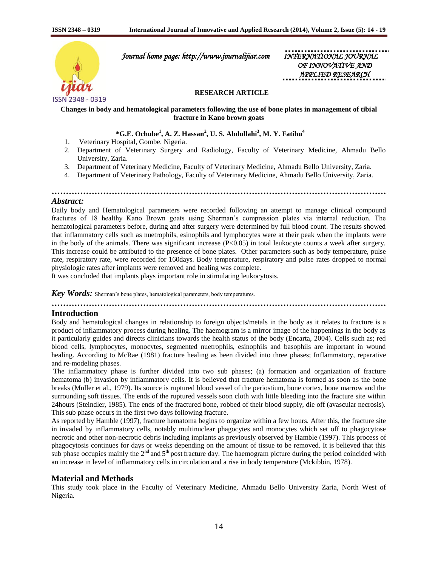

 *Journal home page: http://www.journalijiar.com INTERNATIONAL JOURNAL* 

*OF INNOVATIVE APPLIED RESEARCH* 

#### **RESEARCH ARTICLE**

#### **Changes in body and hematological parameters following the use of bone plates in management of tibial fracture in Kano brown goats**

### **\*G.E. Ochube<sup>1</sup> , A. Z. Hassan<sup>2</sup> , U. S. Abdullahi<sup>3</sup> , M. Y. Fatihu<sup>4</sup>**

- 1. Veterinary Hospital, Gombe. Nigeria.
- 2. Department of Veterinary Surgery and Radiology, Faculty of Veterinary Medicine, Ahmadu Bello University, Zaria.

**………………………………………………………………………………………………………**

- 3. Department of Veterinary Medicine, Faculty of Veterinary Medicine, Ahmadu Bello University, Zaria.
- 4. Department of Veterinary Pathology, Faculty of Veterinary Medicine, Ahmadu Bello University, Zaria.

#### *Abstract:*

Daily body and Hematological parameters were recorded following an attempt to manage clinical compound fractures of 18 healthy Kano Brown goats using Sherman's compression plates via internal reduction. The hematological parameters before, during and after surgery were determined by full blood count. The results showed that inflammatory cells such as nuetrophils, esinophils and lymphocytes were at their peak when the implants were in the body of the animals. There was significant increase (P<0.05) in total leukocyte counts a week after surgery. This increase could be attributed to the presence of bone plates. Other parameters such as body temperature, pulse rate, respiratory rate, were recorded for 160days. Body temperature, respiratory and pulse rates dropped to normal physiologic rates after implants were removed and healing was complete.

It was concluded that implants plays important role in stimulating leukocytosis.

*Key Words:* Sherman's bone plates, hematological parameters, body temperatures.

# **………………………………………………………………………………………………………**

#### **Introduction**

Body and hematological changes in relationship to foreign objects/metals in the body as it relates to fracture is a product of inflammatory process during healing. The haemogram is a mirror image of the happenings in the body as it particularly guides and directs clinicians towards the health status of the body (Encarta, 2004). Cells such as; red blood cells, lymphocytes, monocytes, segmented nuetrophils, esinophils and basophils are important in wound healing. According to McRae (1981) fracture healing as been divided into three phases; Inflammatory, reparative and re-modeling phases.

The inflammatory phase is further divided into two sub phases; (a) formation and organization of fracture hematoma (b) invasion by inflammatory cells. It is believed that fracture hematoma is formed as soon as the bone breaks (Muller et al., 1979). Its source is ruptured blood vessel of the periostium, bone cortex, bone marrow and the surrounding soft tissues. The ends of the ruptured vessels soon cloth with little bleeding into the fracture site within 24hours (Steindler, 1985). The ends of the fractured bone, robbed of their blood supply, die off (avascular necrosis). This sub phase occurs in the first two days following fracture.

As reported by Hamble (1997), fracture hematoma begins to organize within a few hours. After this, the fracture site in invaded by inflammatory cells, notably multinuclear phagocytes and monocytes which set off to phagocytose necrotic and other non-necrotic debris including implants as previously observed by Hamble (1997). This process of phagocytosis continues for days or weeks depending on the amount of tissue to be removed. It is believed that this sub phase occupies mainly the  $2<sup>nd</sup>$  and  $5<sup>th</sup>$  post fracture day. The haemogram picture during the period coincided with an increase in level of inflammatory cells in circulation and a rise in body temperature (Mckibbin, 1978).

### **Material and Methods**

This study took place in the Faculty of Veterinary Medicine, Ahmadu Bello University Zaria, North West of Nigeria.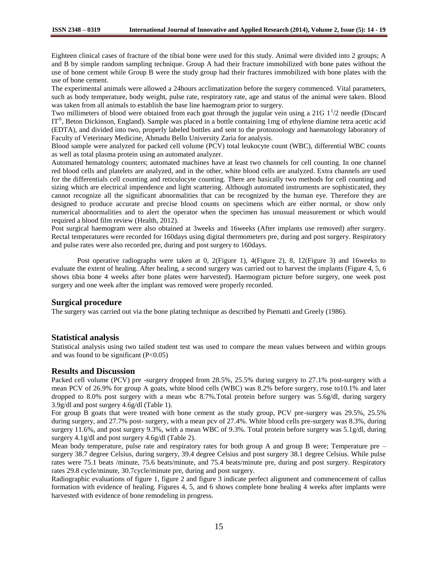Eighteen clinical cases of fracture of the tibial bone were used for this study. Animal were divided into 2 groups; A and B by simple random sampling technique. Group A had their fracture immobilized with bone pates without the use of bone cement while Group B were the study group had their fractures immobilized with bone plates with the use of bone cement.

The experimental animals were allowed a 24hours acclimatization before the surgery commenced. Vital parameters, such as body temperature, body weight, pulse rate, respiratory rate, age and status of the animal were taken. Blood was taken from all animals to establish the base line haemogram prior to surgery.

Two millimeters of blood were obtained from each goat through the jugular vein using a 21G  $1<sup>1</sup>/2$  needle (Discard IT<sup>®</sup>, Beton Dickinson, England). Sample was placed in a bottle containing 1mg of ethylene diamine tetra acetic acid (EDTA), and divided into two, properly labeled bottles and sent to the protozoology and haematology laboratory of Faculty of Veterinary Medicine, Ahmadu Bello University Zaria for analysis.

Blood sample were analyzed for packed cell volume (PCV) total leukocyte count (WBC), differential WBC counts as well as total plasma protein using an automated analyzer.

Automated hematology counters; automated machines have at least two channels for cell counting. In one channel red blood cells and platelets are analyzed, and in the other, white blood cells are analyzed. Extra channels are used for the differentials cell counting and reticulocyte counting. There are basically two methods for cell counting and sizing which are electrical impendence and light scattering. Although automated instruments are sophisticated, they cannot recognize all the significant abnormalities that can be recognized by the human eye. Therefore they are designed to produce accurate and precise blood counts on specimens which are either normal, or show only numerical abnormalities and to alert the operator when the specimen has unusual measurement or which would required a blood film review (Health, 2012).

Post surgical haemogram were also obtained at 3weeks and 16weeks (After implants use removed) after surgery. Rectal temperatures were recorded for 160days using digital thermometers pre, during and post surgery. Respiratory and pulse rates were also recorded pre, during and post surgery to 160days.

Post operative radiographs were taken at 0, 2(Figure 1), 4(Figure 2), 8, 12(Figure 3) and 16weeks to evaluate the extent of healing. After healing, a second surgery was carried out to harvest the implants (Figure 4, 5, 6 shows tibia bone 4 weeks after bone plates were harvested). Haemogram picture before surgery, one week post surgery and one week after the implant was removed were properly recorded.

### **Surgical procedure**

The surgery was carried out via the bone plating technique as described by Piematti and Greely (1986).

### **Statistical analysis**

Statistical analysis using two tailed student test was used to compare the mean values between and within groups and was found to be significant  $(P<0.05)$ 

#### **Results and Discussion**

Packed cell volume (PCV) pre -surgery dropped from 28.5%, 25.5% during surgery to 27.1% post-surgery with a mean PCV of 26.9% for group A goats, white blood cells (WBC) was 8.2% before surgery, rose to10.1% and later dropped to 8.0% post surgery with a mean wbc 8.7%.Total protein before surgery was 5.6g/dl, during surgery 3.9g/dl and post surgery 4.6g/dl (Table 1).

For group B goats that were treated with bone cement as the study group, PCV pre-surgery was 29.5%, 25.5% during surgery, and 27.7% post- surgery, with a mean pcv of 27.4%. White blood cells pre-surgery was 8.3%, during surgery 11.6%, and post surgery 9.3%, with a mean WBC of 9.3%. Total protein before surgery was 5.1g/dl, during surgery 4.1g/dl and post surgery 4.6g/dl (Table 2).

Mean body temperature, pulse rate and respiratory rates for both group A and group B were; Temperature pre – surgery 38.7 degree Celsius, during surgery, 39.4 degree Celsius and post surgery 38.1 degree Celsius. While pulse rates were 75.1 beats /minute, 75.6 beats/minute, and 75.4 beats/minute pre, during and post surgery. Respiratory rates 29.8 cycle/minute, 30.7cycle/minute pre, during and post surgery.

Radiographic evaluations of figure 1, figure 2 and figure 3 indicate perfect alignment and commencement of callus formation with evidence of healing. Figures 4, 5, and 6 shows complete bone healing 4 weeks after implants were harvested with evidence of bone remodeling in progress.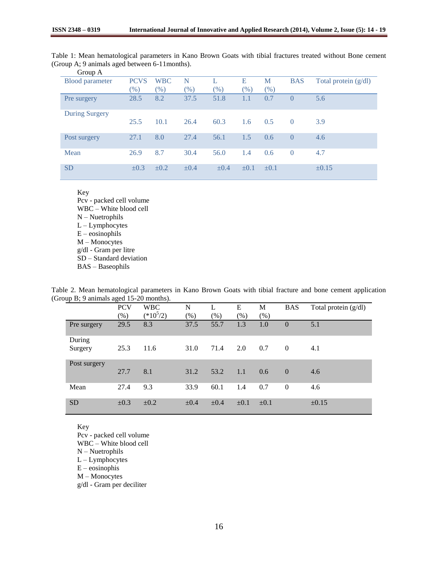| Table 1: Mean hematological parameters in Kano Brown Goats with tibial fractures treated without Bone cement |  |  |  |  |  |
|--------------------------------------------------------------------------------------------------------------|--|--|--|--|--|
| (Group A; 9 animals aged between 6-11 months).                                                               |  |  |  |  |  |

| ັ<br>Group A           |             |            |           |           |           |           |            |                        |
|------------------------|-------------|------------|-----------|-----------|-----------|-----------|------------|------------------------|
| <b>Blood parameter</b> | <b>PCVS</b> | <b>WBC</b> | N         |           | Е         | M         | <b>BAS</b> | Total protein $(g/dl)$ |
|                        | $(\%)$      | $(\% )$    | (% )      | $(\%)$    | $(\%)$    | $(\% )$   |            |                        |
| Pre surgery            | 28.5        | 8.2        | 37.5      | 51.8      | 1.1       | 0.7       | $\theta$   | 5.6                    |
| <b>During Surgery</b>  |             |            |           |           |           |           |            |                        |
|                        | 25.5        | 10.1       | 26.4      | 60.3      | 1.6       | 0.5       | $\Omega$   | 3.9                    |
| Post surgery           | 27.1        | 8.0        | 27.4      | 56.1      | 1.5       | 0.6       | $\Omega$   | 4.6                    |
| Mean                   | 26.9        | 8.7        | 30.4      | 56.0      | 1.4       | 0.6       | $\theta$   | 4.7                    |
| <b>SD</b>              | $\pm 0.3$   | $\pm 0.2$  | $\pm 0.4$ | $\pm 0.4$ | $\pm 0.1$ | $\pm 0.1$ |            | $\pm 0.15$             |

Key Pcv - packed cell volume WBC – White blood cell N – Nuetrophils L – Lymphocytes E – eosinophils M – Monocytes g/dl - Gram per litre SD – Standard deviation BAS – Baseophils

Table 2. Mean hematological parameters in Kano Brown Goats with tibial fracture and bone cement application (Group B; 9 animals aged 15-20 months).

|                   | <b>PCV</b> | <b>WBC</b>  | N         |           | E         | M         | <b>BAS</b>     | Total protein $(g/dl)$ |
|-------------------|------------|-------------|-----------|-----------|-----------|-----------|----------------|------------------------|
|                   | $(\% )$    | $(*10^5/2)$ | (% )      | $(\%)$    | (% )      | $(\%)$    |                |                        |
| Pre surgery       | 29.5       | 8.3         | 37.5      | 55.7      | 1.3       | 1.0       | $\overline{0}$ | 5.1                    |
| During<br>Surgery | 25.3       | 11.6        | 31.0      | 71.4      | 2.0       | 0.7       | $\theta$       | 4.1                    |
| Post surgery      | 27.7       | 8.1         | 31.2      | 53.2      | 1.1       | 0.6       | $\Omega$       | 4.6                    |
| Mean              | 27.4       | 9.3         | 33.9      | 60.1      | 1.4       | 0.7       | $\Omega$       | 4.6                    |
| <b>SD</b>         | $\pm 0.3$  | $\pm 0.2$   | $\pm 0.4$ | $\pm 0.4$ | $\pm 0.1$ | $\pm 0.1$ |                | $\pm 0.15$             |

Key

Pcv - packed cell volume WBC – White blood cell

- 
- N Nuetrophils L – Lymphocytes
- E eosinophis
- M Monocytes
- g/dl Gram per deciliter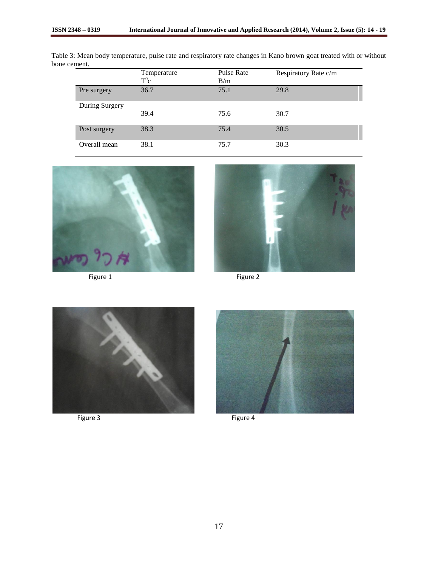|                | Temperature<br>$T^0c$ | Pulse Rate<br>B/m | Respiratory Rate c/m |
|----------------|-----------------------|-------------------|----------------------|
| Pre surgery    | 36.7                  | 75.1              | 29.8                 |
| During Surgery | 39.4                  | 75.6              | 30.7                 |
| Post surgery   | 38.3                  | 75.4              | 30.5                 |
| Overall mean   | 38.1                  | 75.7              | 30.3                 |

Table 3: Mean body temperature, pulse rate and respiratory rate changes in Kano brown goat treated with or without bone cement.







Figure 3 Figure 4

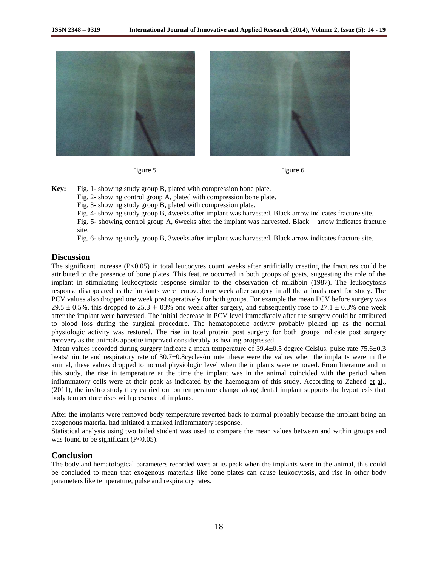

Figure 5 **Figure 6** 



**Key:** Fig. 1- showing study group B, plated with compression bone plate.

Fig. 2- showing control group A, plated with compression bone plate.

Fig. 3- showing study group B, plated with compression plate.

Fig. 4- showing study group B, 4weeks after implant was harvested. Black arrow indicates fracture site.

Fig. 5- showing control group A, 6weeks after the implant was harvested. Black arrow indicates fracture site.

Fig. 6- showing study group B, 3weeks after implant was harvested. Black arrow indicates fracture site.

#### **Discussion**

The significant increase  $(P<0.05)$  in total leucocytes count weeks after artificially creating the fractures could be attributed to the presence of bone plates. This feature occurred in both groups of goats, suggesting the role of the implant in stimulating leukocytosis response similar to the observation of mikibbin (1987). The leukocytosis response disappeared as the implants were removed one week after surgery in all the animals used for study. The PCV values also dropped one week post operatively for both groups. For example the mean PCV before surgery was 29.5  $\pm$  0.5%, this dropped to 25.3  $\pm$  03% one week after surgery, and subsequently rose to 27.1  $\pm$  0.3% one week after the implant were harvested. The initial decrease in PCV level immediately after the surgery could be attributed to blood loss during the surgical procedure. The hematopoietic activity probably picked up as the normal physiologic activity was restored. The rise in total protein post surgery for both groups indicate post surgery recovery as the animals appetite improved considerably as healing progressed.

Mean values recorded during surgery indicate a mean temperature of  $39.4\pm0.5$  degree Celsius, pulse rate  $75.6\pm0.3$ beats/minute and respiratory rate of 30.7±0.8cycles/minute ,these were the values when the implants were in the animal, these values dropped to normal physiologic level when the implants were removed. From literature and in this study, the rise in temperature at the time the implant was in the animal coincided with the period when inflammatory cells were at their peak as indicated by the haemogram of this study. According to Zaheed et al*.,* (2011), the invitro study they carried out on temperature change along dental implant supports the hypothesis that body temperature rises with presence of implants.

After the implants were removed body temperature reverted back to normal probably because the implant being an exogenous material had initiated a marked inflammatory response.

Statistical analysis using two tailed student was used to compare the mean values between and within groups and was found to be significant  $(P<0.05)$ .

### **Conclusion**

The body and hematological parameters recorded were at its peak when the implants were in the animal, this could be concluded to mean that exogenous materials like bone plates can cause leukocytosis, and rise in other body parameters like temperature, pulse and respiratory rates.